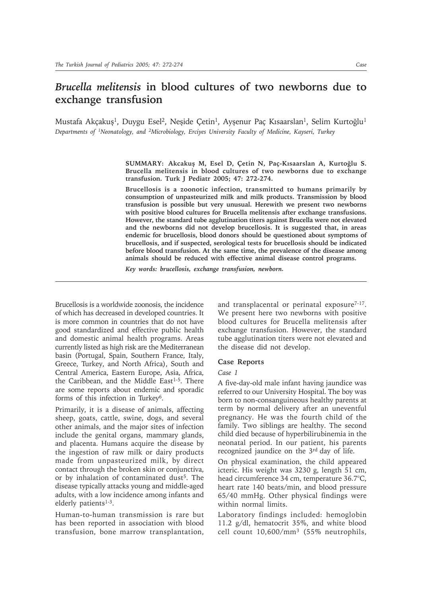# *Brucella melitensis* **in blood cultures of two newborns due to exchange transfusion**

Mustafa Akçakuş<sup>1</sup>, Duygu Esel<sup>2</sup>, Neşide Çetin<sup>1</sup>, Ayşenur Paç Kısaarslan<sup>1</sup>, Selim Kurtoğlu<sup>1</sup> *Departments of 1Neonatology, and 2Microbiology, Erciyes University Faculty of Medicine, Kayseri, Turkey*

> **SUMMARY: Akcakuş M, Esel D, Çetin N, Paç-Kısaarslan A, Kurtoğlu S. Brucella melitensis in blood cultures of two newborns due to exchange transfusion. Turk J Pediatr 2005; 47: 272-274.**

> **Brucellosis is a zoonotic infection, transmitted to humans primarily by consumption of unpasteurized milk and milk products. Transmission by blood transfusion is possible but very unusual. Herewith we present two newborns with positive blood cultures for Brucella melitensis after exchange transfusions. However, the standard tube agglutination titers against Brucella were not elevated and the newborns did not develop brucellosis. It is suggested that, in areas endemic for brucellosis, blood donors should be questioned about symptoms of brucellosis, and if suspected, serological tests for brucellosis should be indicated before blood transfusion. At the same time, the prevalence of the disease among animals should be reduced with effective animal disease control programs.**

*Key words: brucellosis, exchange transfusion, newborn.*

Brucellosis is a worldwide zoonosis, the incidence of which has decreased in developed countries. It is more common in countries that do not have good standardized and effective public health and domestic animal health programs. Areas currently listed as high risk are the Mediterranean basin (Portugal, Spain, Southern France, Italy, Greece, Turkey, and North Africa), South and Central America, Eastern Europe, Asia, Africa, the Caribbean, and the Middle East<sup>1-5</sup>. There are some reports about endemic and sporadic forms of this infection in Turkey6.

Primarily, it is a disease of animals, affecting sheep, goats, cattle, swine, dogs, and several other animals, and the major sites of infection include the genital organs, mammary glands, and placenta. Humans acquire the disease by the ingestion of raw milk or dairy products made from unpasteurized milk, by direct contact through the broken skin or conjunctiva, or by inhalation of contaminated dust<sup>5</sup>. The disease typically attacks young and middle-aged adults, with a low incidence among infants and elderly patients $1-3$ .

Human-to-human transmission is rare but has been reported in association with blood transfusion, bone marrow transplantation,

and transplacental or perinatal exposure<sup>7-17</sup>. We present here two newborns with positive blood cultures for Brucella melitensis after exchange transfusion. However, the standard tube agglutination titers were not elevated and the disease did not develop.

### **Case Reports**

#### *Case 1*

A five-day-old male infant having jaundice was referred to our University Hospital. The boy was born to non-consanguineous healthy parents at term by normal delivery after an uneventful pregnancy. He was the fourth child of the family. Two siblings are healthy. The second child died because of hyperbilirubinemia in the neonatal period. In our patient, his parents recognized jaundice on the 3rd day of life.

On physical examination, the child appeared icteric. His weight was 3230 g, length 51 cm, head circumference 34 cm, temperature 36.7°C, heart rate 140 beats/min, and blood pressure 65/40 mmHg. Other physical findings were within normal limits.

Laboratory findings included: hemoglobin 11.2 g/dl, hematocrit 35%, and white blood cell count 10,600/mm3 (55% neutrophils,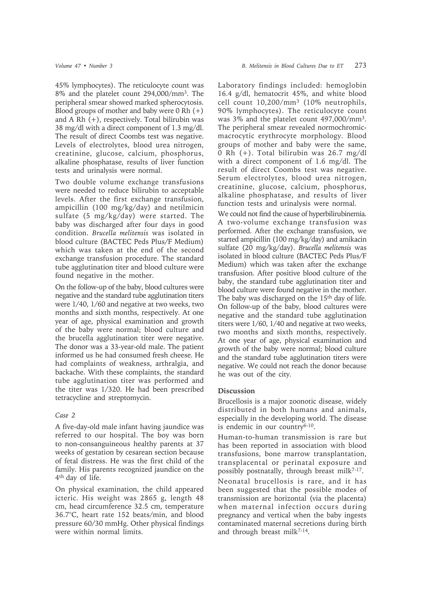45% lymphocytes). The reticulocyte count was 8% and the platelet count 294,000/mm3. The peripheral smear showed marked spherocytosis. Blood groups of mother and baby were  $0 Rh (+)$ and A Rh (+), respectively. Total bilirubin was 38 mg/dl with a direct component of 1.3 mg/dl. The result of direct Coombs test was negative. Levels of electrolytes, blood urea nitrogen, creatinine, glucose, calcium, phosphorus, alkaline phosphatase, results of liver function tests and urinalysis were normal.

Two double volume exchange transfusions were needed to reduce bilirubin to acceptable levels. After the first exchange transfusion, ampicillin (100 mg/kg/day) and netilmicin sulfate (5 mg/kg/day) were started. The baby was discharged after four days in good condition. *Brucella melitensis* was isolated in blood culture (BACTEC Peds Plus/F Medium) which was taken at the end of the second exchange transfusion procedure. The standard tube agglutination titer and blood culture were found negative in the mother.

On the follow-up of the baby, blood cultures were negative and the standard tube agglutination titers were 1/40, 1/60 and negative at two weeks, two months and sixth months, respectively. At one year of age, physical examination and growth of the baby were normal; blood culture and the brucella agglutination titer were negative. The donor was a 33-year-old male. The patient informed us he had consumed fresh cheese. He had complaints of weakness, arthralgia, and backache. With these complaints, the standard tube agglutination titer was performed and the titer was 1/320. He had been prescribed tetracycline and streptomycin.

## *Case 2*

A five-day-old male infant having jaundice was referred to our hospital. The boy was born to non-consanguineous healthy parents at 37 weeks of gestation by cesarean section because of fetal distress. He was the first child of the family. His parents recognized jaundice on the 4th day of life.

On physical examination, the child appeared icteric. His weight was 2865 g, length 48 cm, head circumference 32.5 cm, temperature 36.7°C, heart rate 152 beats/min, and blood pressure 60/30 mmHg. Other physical findings were within normal limits.

Laboratory findings included: hemoglobin 16.4 g/dl, hematocrit 45%, and white blood cell count 10,200/mm3 (10% neutrophils, 90% lymphocytes). The reticulocyte count was 3% and the platelet count 497,000/mm3. The peripheral smear revealed normochromicmacrocytic erythrocyte morphology. Blood groups of mother and baby were the same, 0 Rh (+). Total bilirubin was 26.7 mg/dl with a direct component of 1.6 mg/dl. The result of direct Coombs test was negative. Serum electrolytes, blood urea nitrogen, creatinine, glucose, calcium, phosphorus, alkaline phosphatase, and results of liver function tests and urinalysis were normal.

We could not find the cause of hyperbilirubinemia. A two-volume exchange transfusion was performed. After the exchange transfusion, we started ampicillin (100 mg/kg/day) and amikacin sulfate (20 mg/kg/day). *Brucella melitensis* was isolated in blood culture (BACTEC Peds Plus/F Medium) which was taken after the exchange transfusion. After positive blood culture of the baby, the standard tube agglutination titer and blood culture were found negative in the mother. The baby was discharged on the 15<sup>th</sup> day of life. On follow-up of the baby, blood cultures were negative and the standard tube agglutination titers were 1/60, 1/40 and negative at two weeks, two months and sixth months, respectively. At one year of age, physical examination and growth of the baby were normal; blood culture and the standard tube agglutination titers were negative. We could not reach the donor because he was out of the city.

## **Discussion**

Brucellosis is a major zoonotic disease, widely distributed in both humans and animals, especially in the developing world. The disease is endemic in our country<sup>6-10</sup>.

Human-to-human transmission is rare but has been reported in association with blood transfusions, bone marrow transplantation, transplacental or perinatal exposure and possibly postnatally, through breast milk7-17.

Neonatal brucellosis is rare, and it has been suggested that the possible modes of transmission are horizontal (via the placenta) when maternal infection occurs during pregnancy and vertical when the baby ingests contaminated maternal secretions during birth and through breast milk<sup>7-14</sup>.